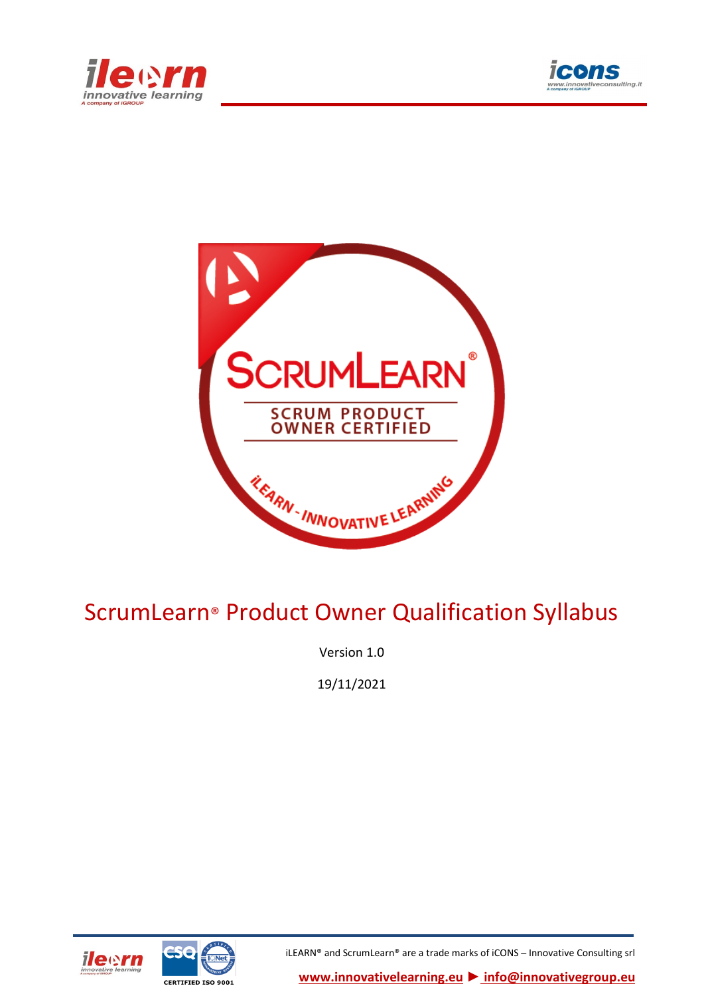





# ScrumLearn® Product Owner Qualification Syllabus

Version 1.0

19/11/2021





iLEARN® and ScrumLearn® are a trade marks of iCONS – Innovative Consulting srl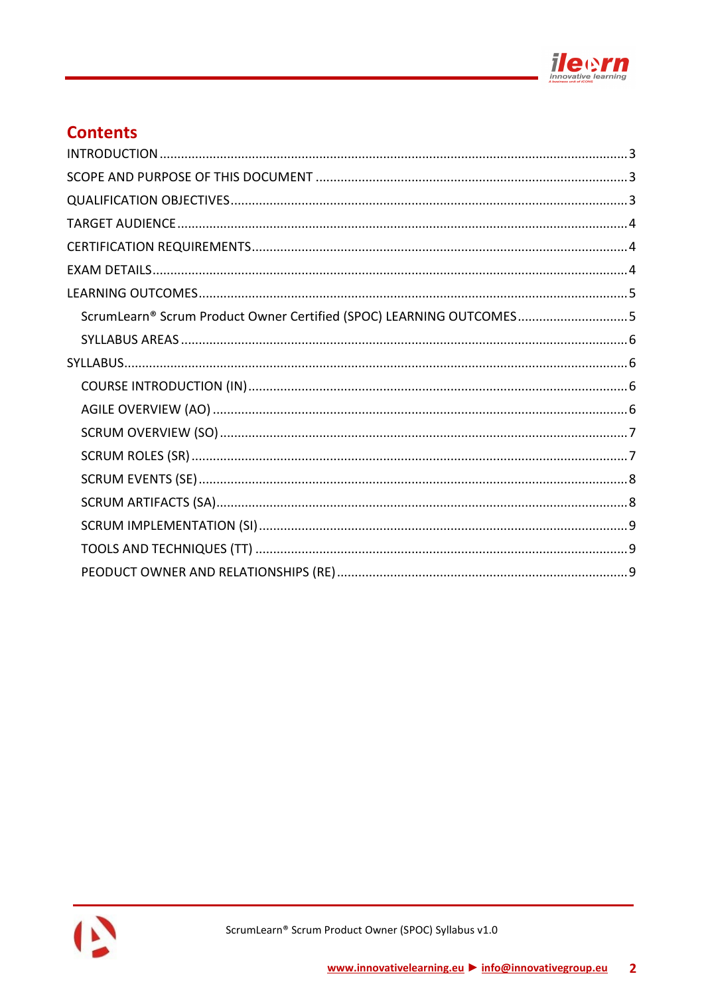

# **Contents**

| ScrumLearn® Scrum Product Owner Certified (SPOC) LEARNING OUTCOMES5 |
|---------------------------------------------------------------------|
|                                                                     |
|                                                                     |
|                                                                     |
|                                                                     |
|                                                                     |
|                                                                     |
|                                                                     |
|                                                                     |
|                                                                     |
|                                                                     |
|                                                                     |

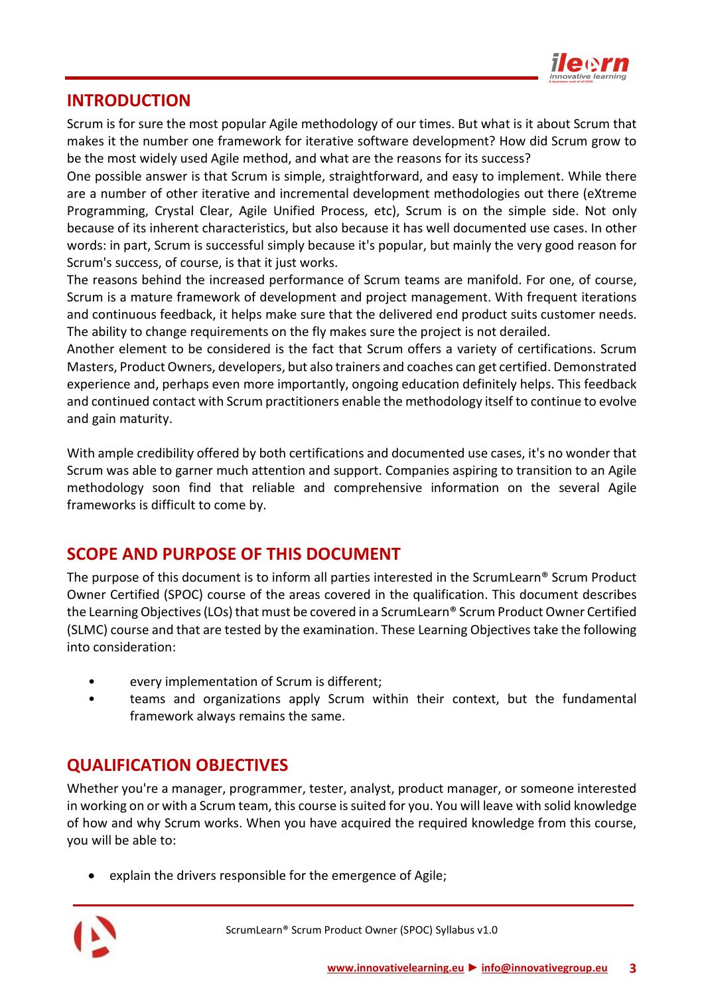

## <span id="page-2-0"></span>**INTRODUCTION**

Scrum is for sure the most popular Agile methodology of our times. But what is it about Scrum that makes it the number one framework for iterative software development? How did Scrum grow to be the most widely used Agile method, and what are the reasons for its success?

One possible answer is that Scrum is simple, straightforward, and easy to implement. While there are a number of other iterative and incremental development methodologies out there (eXtreme Programming, Crystal Clear, Agile Unified Process, etc), Scrum is on the simple side. Not only because of its inherent characteristics, but also because it has well documented use cases. In other words: in part, Scrum is successful simply because it's popular, but mainly the very good reason for Scrum's success, of course, is that it just works.

The reasons behind the increased performance of Scrum teams are manifold. For one, of course, Scrum is a mature framework of development and project management. With frequent iterations and continuous feedback, it helps make sure that the delivered end product suits customer needs. The ability to change requirements on the fly makes sure the project is not derailed.

Another element to be considered is the fact that Scrum offers a variety of certifications. Scrum Masters, Product Owners, developers, but also trainers and coaches can get certified. Demonstrated experience and, perhaps even more importantly, ongoing education definitely helps. This feedback and continued contact with Scrum practitioners enable the methodology itself to continue to evolve and gain maturity.

With ample credibility offered by both certifications and documented use cases, it's no wonder that Scrum was able to garner much attention and support. Companies aspiring to transition to an Agile methodology soon find that reliable and comprehensive information on the several Agile frameworks is difficult to come by.

# <span id="page-2-1"></span>**SCOPE AND PURPOSE OF THIS DOCUMENT**

The purpose of this document is to inform all parties interested in the ScrumLearn® Scrum Product Owner Certified (SPOC) course of the areas covered in the qualification. This document describes the Learning Objectives (LOs) that must be covered in a ScrumLearn® Scrum Product Owner Certified (SLMC) course and that are tested by the examination. These Learning Objectives take the following into consideration:

- every implementation of Scrum is different;
- teams and organizations apply Scrum within their context, but the fundamental framework always remains the same.

# <span id="page-2-2"></span>**QUALIFICATION OBJECTIVES**

Whether you're a manager, programmer, tester, analyst, product manager, or someone interested in working on or with a Scrum team, this course is suited for you. You will leave with solid knowledge of how and why Scrum works. When you have acquired the required knowledge from this course, you will be able to:

• explain the drivers responsible for the emergence of Agile;

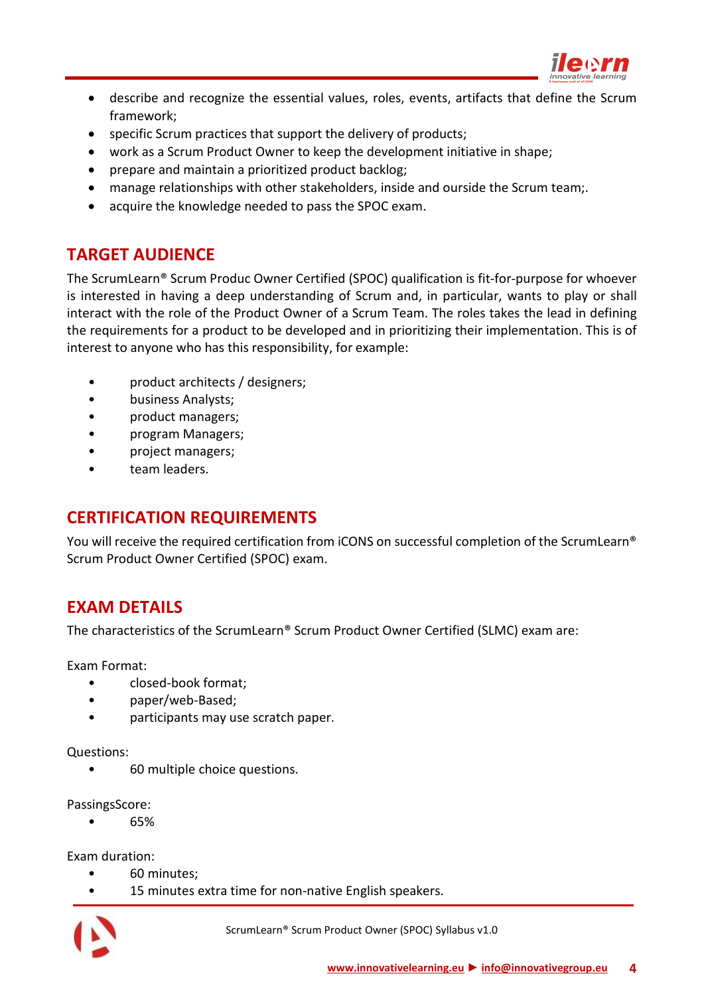

- describe and recognize the essential values, roles, events, artifacts that define the Scrum framework;
- specific Scrum practices that support the delivery of products;
- work as a Scrum Product Owner to keep the development initiative in shape;
- prepare and maintain a prioritized product backlog;
- manage relationships with other stakeholders, inside and ourside the Scrum team;.
- <span id="page-3-0"></span>• acquire the knowledge needed to pass the SPOC exam.

# **TARGET AUDIENCE**

The ScrumLearn® Scrum Produc Owner Certified (SPOC) qualification is fit-for-purpose for whoever is interested in having a deep understanding of Scrum and, in particular, wants to play or shall interact with the role of the Product Owner of a Scrum Team. The roles takes the lead in defining the requirements for a product to be developed and in prioritizing their implementation. This is of interest to anyone who has this responsibility, for example:

- product architects / designers;
- business Analysts;
- product managers;
- program Managers;
- project managers;
- <span id="page-3-1"></span>team leaders.

## **CERTIFICATION REQUIREMENTS**

<span id="page-3-2"></span>You will receive the required certification from iCONS on successful completion of the ScrumLearn® Scrum Product Owner Certified (SPOC) exam.

## **EXAM DETAILS**

The characteristics of the ScrumLearn® Scrum Product Owner Certified (SLMC) exam are:

Exam Format:

- closed-book format;
- paper/web-Based;
- participants may use scratch paper.

Questions:

• 60 multiple choice questions.

PassingsScore:

• 65%

Exam duration:

- 60 minutes;
- 15 minutes extra time for non-native English speakers.

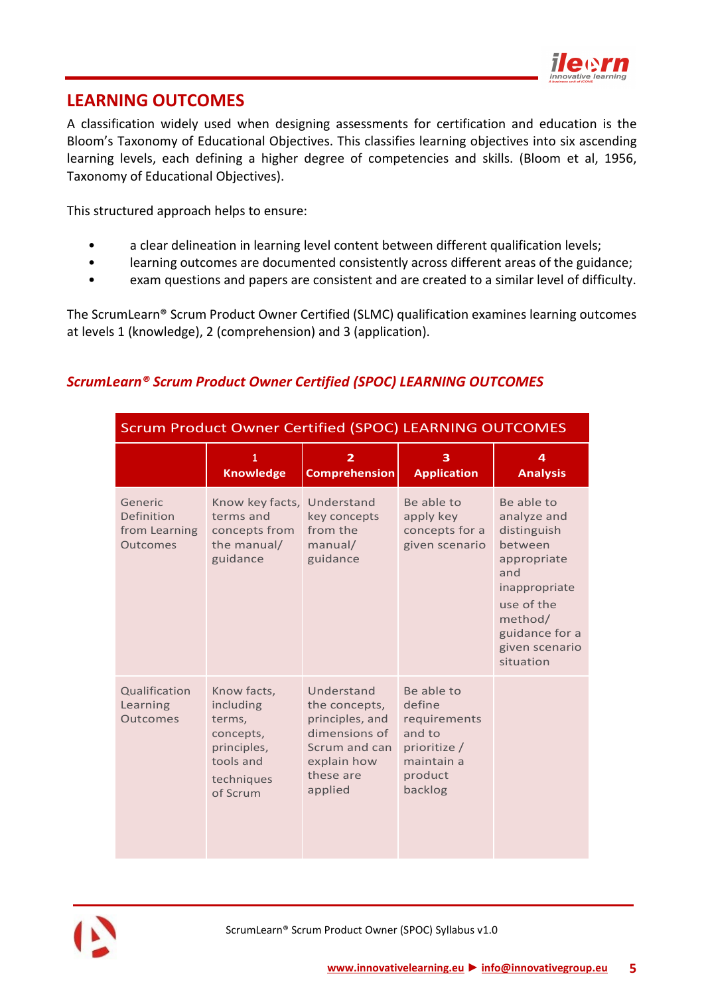

# <span id="page-4-0"></span>**LEARNING OUTCOMES**

A classification widely used when designing assessments for certification and education is the Bloom's Taxonomy of Educational Objectives. This classifies learning objectives into six ascending learning levels, each defining a higher degree of competencies and skills. (Bloom et al, 1956, Taxonomy of Educational Objectives).

This structured approach helps to ensure:

- a clear delineation in learning level content between different qualification levels;
- learning outcomes are documented consistently across different areas of the guidance;
- exam questions and papers are consistent and are created to a similar level of difficulty.

The ScrumLearn® Scrum Product Owner Certified (SLMC) qualification examines learning outcomes at levels 1 (knowledge), 2 (comprehension) and 3 (application).

## <span id="page-4-1"></span>*ScrumLearn® Scrum Product Owner Certified (SPOC) LEARNING OUTCOMES*

| <b>Scrum Product Owner Certified (SPOC) LEARNING OUTCOMES</b> |                                                                                                       |                                                                                                                         |                                                                                                    |                                                                                                                                                                      |
|---------------------------------------------------------------|-------------------------------------------------------------------------------------------------------|-------------------------------------------------------------------------------------------------------------------------|----------------------------------------------------------------------------------------------------|----------------------------------------------------------------------------------------------------------------------------------------------------------------------|
|                                                               | 1<br><b>Knowledge</b>                                                                                 | 2<br><b>Comprehension</b>                                                                                               | 3<br><b>Application</b>                                                                            | 4<br><b>Analysis</b>                                                                                                                                                 |
| Generic<br>Definition<br>from Learning<br><b>Outcomes</b>     | Know key facts, Understand<br>terms and<br>concepts from<br>the manual/<br>guidance                   | key concepts<br>from the<br>manual/<br>guidance                                                                         | Be able to<br>apply key<br>concepts for a<br>given scenario                                        | Be able to<br>analyze and<br>distinguish<br>between<br>appropriate<br>and<br>inappropriate<br>use of the<br>method/<br>guidance for a<br>given scenario<br>situation |
| Qualification<br>Learning<br>Outcomes                         | Know facts,<br>including<br>terms,<br>concepts,<br>principles,<br>tools and<br>techniques<br>of Scrum | Understand<br>the concepts,<br>principles, and<br>dimensions of<br>Scrum and can<br>explain how<br>these are<br>applied | Be able to<br>define<br>requirements<br>and to<br>prioritize /<br>maintain a<br>product<br>backlog |                                                                                                                                                                      |

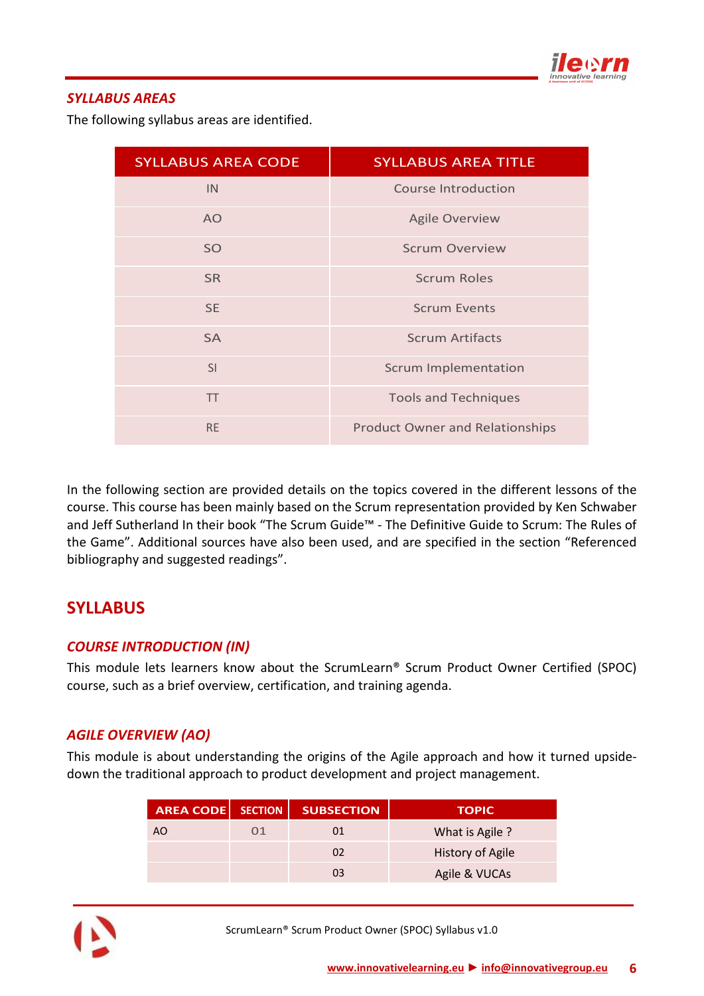

#### <span id="page-5-0"></span>*SYLLABUS AREAS*

The following syllabus areas are identified.

| <b>SYLLABUS AREA CODE</b> | <b>SYLLABUS AREA TITLE</b>             |
|---------------------------|----------------------------------------|
| IN.                       | Course Introduction                    |
| AO                        | <b>Agile Overview</b>                  |
| SO                        | <b>Scrum Overview</b>                  |
| <b>SR</b>                 | <b>Scrum Roles</b>                     |
| <b>SE</b>                 | <b>Scrum Events</b>                    |
| <b>SA</b>                 | <b>Scrum Artifacts</b>                 |
| SI                        | <b>Scrum Implementation</b>            |
| <b>TT</b>                 | <b>Tools and Techniques</b>            |
| <b>RE</b>                 | <b>Product Owner and Relationships</b> |

In the following section are provided details on the topics covered in the different lessons of the course. This course has been mainly based on the Scrum representation provided by Ken Schwaber and Jeff Sutherland In their book "The Scrum Guide™ - The Definitive Guide to Scrum: The Rules of the Game". Additional sources have also been used, and are specified in the section "Referenced bibliography and suggested readings".

# <span id="page-5-1"></span>**SYLLABUS**

#### <span id="page-5-2"></span>*COURSE INTRODUCTION (IN)*

This module lets learners know about the ScrumLearn® Scrum Product Owner Certified (SPOC) course, such as a brief overview, certification, and training agenda.

#### <span id="page-5-3"></span>*AGILE OVERVIEW (AO)*

This module is about understanding the origins of the Agile approach and how it turned upsidedown the traditional approach to product development and project management.

| <b>AREA CODE   SECTION</b> |    | <b>SUBSECTION</b> | <b>TOPIC</b>            |
|----------------------------|----|-------------------|-------------------------|
| AO                         | O1 | 01                | What is Agile ?         |
|                            |    | 02                | <b>History of Agile</b> |
|                            |    | 03                | Agile & VUCAs           |



ScrumLearn® Scrum Product Owner (SPOC) Syllabus v1.0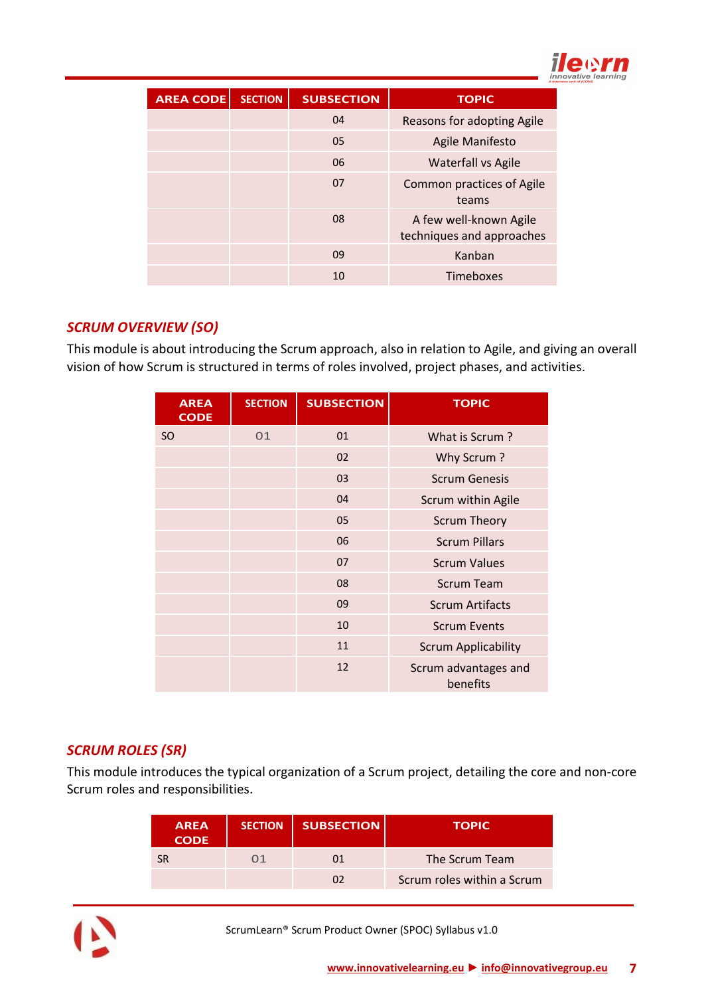

| <b>AREA CODE</b> | <b>SECTION</b> | <b>SUBSECTION</b> | <b>TOPIC</b>                                        |
|------------------|----------------|-------------------|-----------------------------------------------------|
|                  |                | 04                | Reasons for adopting Agile                          |
|                  |                | 05                | Agile Manifesto                                     |
|                  |                | 06                | Waterfall vs Agile                                  |
|                  |                | 07                | Common practices of Agile<br>teams                  |
|                  |                | 08                | A few well-known Agile<br>techniques and approaches |
|                  |                | 09                | Kanban                                              |
|                  |                | 10                | Timeboxes                                           |

#### <span id="page-6-0"></span>*SCRUM OVERVIEW (SO)*

This module is about introducing the Scrum approach, also in relation to Agile, and giving an overall vision of how Scrum is structured in terms of roles involved, project phases, and activities.

| <b>AREA</b><br><b>CODE</b> | <b>SECTION</b> | <b>SUBSECTION</b> | <b>TOPIC</b>                     |
|----------------------------|----------------|-------------------|----------------------------------|
| <b>SO</b>                  | 01             | 01                | What is Scrum?                   |
|                            |                | 02                | Why Scrum?                       |
|                            |                | 03                | <b>Scrum Genesis</b>             |
|                            |                | 04                | Scrum within Agile               |
|                            |                | 05                | <b>Scrum Theory</b>              |
|                            |                | 06                | <b>Scrum Pillars</b>             |
|                            |                | 07                | <b>Scrum Values</b>              |
|                            |                | 08                | <b>Scrum Team</b>                |
|                            |                | 09                | <b>Scrum Artifacts</b>           |
|                            |                | 10                | <b>Scrum Events</b>              |
|                            |                | 11                | <b>Scrum Applicability</b>       |
|                            |                | 12                | Scrum advantages and<br>benefits |

## <span id="page-6-1"></span>*SCRUM ROLES (SR)*

This module introduces the typical organization of a Scrum project, detailing the core and non-core Scrum roles and responsibilities.

| <b>AREA</b><br><b>CODE</b> | <b>SECTION</b> | <b>SUBSECTION</b> | <b>TOPIC</b>               |
|----------------------------|----------------|-------------------|----------------------------|
| SR                         | N 1            | 01                | The Scrum Team             |
|                            |                | n,                | Scrum roles within a Scrum |



ScrumLearn® Scrum Product Owner (SPOC) Syllabus v1.0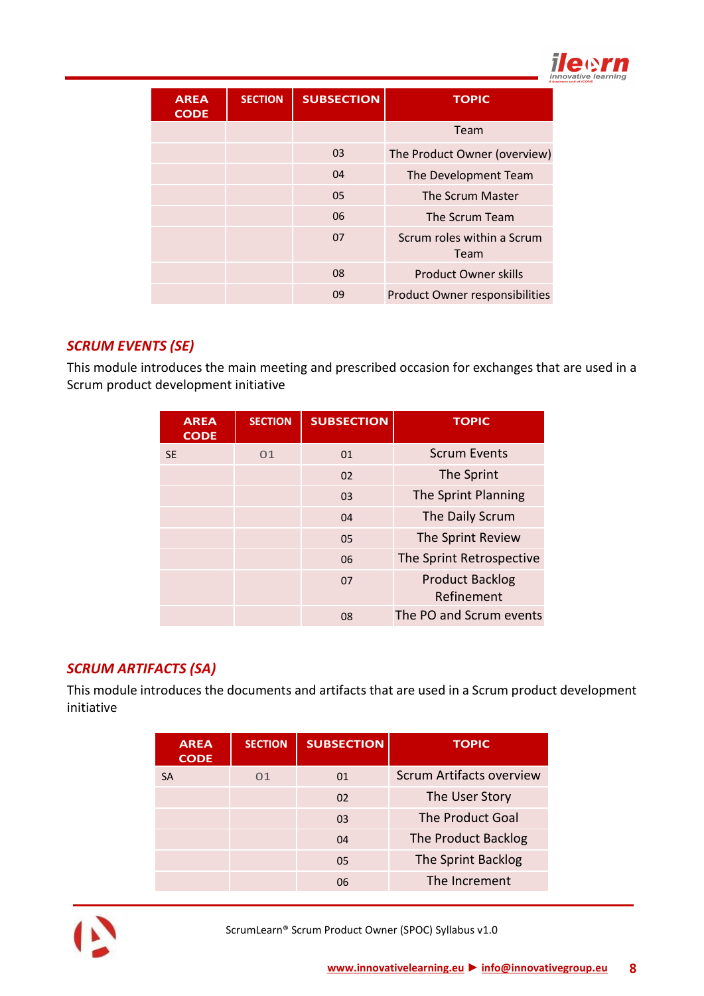

| <b>AREA</b><br><b>CODE</b> | <b>SECTION</b> | <b>SUBSECTION</b> | <b>TOPIC</b>                          |
|----------------------------|----------------|-------------------|---------------------------------------|
|                            |                |                   | Team                                  |
|                            |                | 03                | The Product Owner (overview)          |
|                            |                | 04                | The Development Team                  |
|                            |                | 05                | The Scrum Master                      |
|                            |                | 06                | The Scrum Team                        |
|                            |                | 07                | Scrum roles within a Scrum<br>Team    |
|                            |                | 08                | <b>Product Owner skills</b>           |
|                            |                | 09                | <b>Product Owner responsibilities</b> |

## <span id="page-7-0"></span>*SCRUM EVENTS (SE)*

This module introduces the main meeting and prescribed occasion for exchanges that are used in a Scrum product development initiative

| <b>AREA</b><br><b>CODE</b> | <b>SECTION</b> | <b>SUBSECTION</b> | <b>TOPIC</b>                         |
|----------------------------|----------------|-------------------|--------------------------------------|
| <b>SE</b>                  | 01             | 01                | <b>Scrum Events</b>                  |
|                            |                | 02                | The Sprint                           |
|                            |                | 03                | The Sprint Planning                  |
|                            |                | 04                | The Daily Scrum                      |
|                            |                | 05                | The Sprint Review                    |
|                            |                | 06                | The Sprint Retrospective             |
|                            |                | 07                | <b>Product Backlog</b><br>Refinement |
|                            |                | 08                | The PO and Scrum events              |

## <span id="page-7-1"></span>*SCRUM ARTIFACTS (SA)*

This module introduces the documents and artifacts that are used in a Scrum product development initiative

| <b>AREA</b><br><b>CODE</b> | <b>SECTION</b> | <b>SUBSECTION</b> | <b>TOPIC</b>                    |
|----------------------------|----------------|-------------------|---------------------------------|
| <b>SA</b>                  | 01             | 01                | <b>Scrum Artifacts overview</b> |
|                            |                | 02                | The User Story                  |
|                            |                | 03                | The Product Goal                |
|                            |                | 04                | The Product Backlog             |
|                            |                | 05                | The Sprint Backlog              |
|                            |                | 06                | The Increment                   |



ScrumLearn® Scrum Product Owner (SPOC) Syllabus v1.0